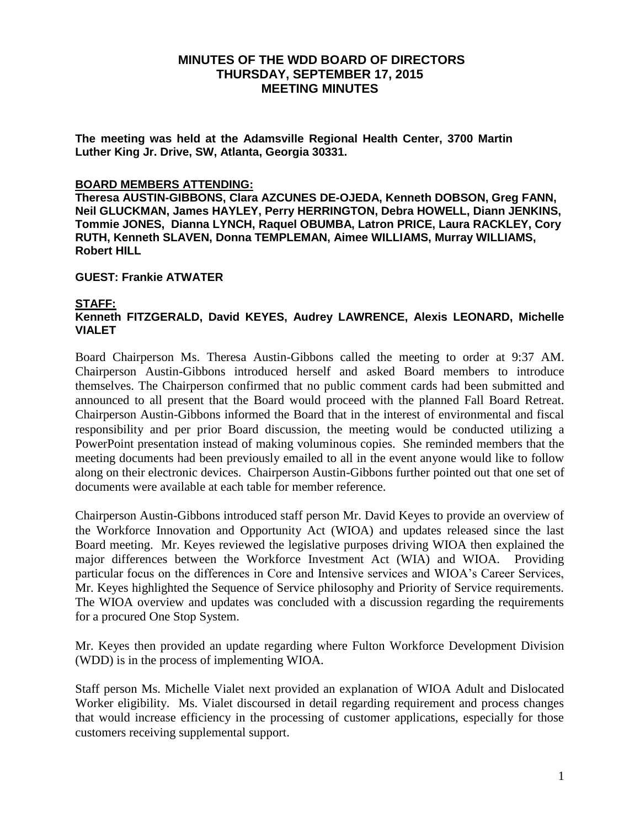**The meeting was held at the Adamsville Regional Health Center, 3700 Martin Luther King Jr. Drive, SW, Atlanta, Georgia 30331.** 

#### **BOARD MEMBERS ATTENDING:**

**Theresa AUSTIN-GIBBONS, Clara AZCUNES DE-OJEDA, Kenneth DOBSON, Greg FANN, Neil GLUCKMAN, James HAYLEY, Perry HERRINGTON, Debra HOWELL, Diann JENKINS, Tommie JONES, Dianna LYNCH, Raquel OBUMBA, Latron PRICE, Laura RACKLEY, Cory RUTH, Kenneth SLAVEN, Donna TEMPLEMAN, Aimee WILLIAMS, Murray WILLIAMS, Robert HILL**

#### **GUEST: Frankie ATWATER**

#### **STAFF:**

# **Kenneth FITZGERALD, David KEYES, Audrey LAWRENCE, Alexis LEONARD, Michelle VIALET**

Board Chairperson Ms. Theresa Austin-Gibbons called the meeting to order at 9:37 AM. Chairperson Austin-Gibbons introduced herself and asked Board members to introduce themselves. The Chairperson confirmed that no public comment cards had been submitted and announced to all present that the Board would proceed with the planned Fall Board Retreat. Chairperson Austin-Gibbons informed the Board that in the interest of environmental and fiscal responsibility and per prior Board discussion, the meeting would be conducted utilizing a PowerPoint presentation instead of making voluminous copies. She reminded members that the meeting documents had been previously emailed to all in the event anyone would like to follow along on their electronic devices. Chairperson Austin-Gibbons further pointed out that one set of documents were available at each table for member reference.

Chairperson Austin-Gibbons introduced staff person Mr. David Keyes to provide an overview of the Workforce Innovation and Opportunity Act (WIOA) and updates released since the last Board meeting. Mr. Keyes reviewed the legislative purposes driving WIOA then explained the major differences between the Workforce Investment Act (WIA) and WIOA. Providing particular focus on the differences in Core and Intensive services and WIOA's Career Services, Mr. Keyes highlighted the Sequence of Service philosophy and Priority of Service requirements. The WIOA overview and updates was concluded with a discussion regarding the requirements for a procured One Stop System.

Mr. Keyes then provided an update regarding where Fulton Workforce Development Division (WDD) is in the process of implementing WIOA.

Staff person Ms. Michelle Vialet next provided an explanation of WIOA Adult and Dislocated Worker eligibility. Ms. Vialet discoursed in detail regarding requirement and process changes that would increase efficiency in the processing of customer applications, especially for those customers receiving supplemental support.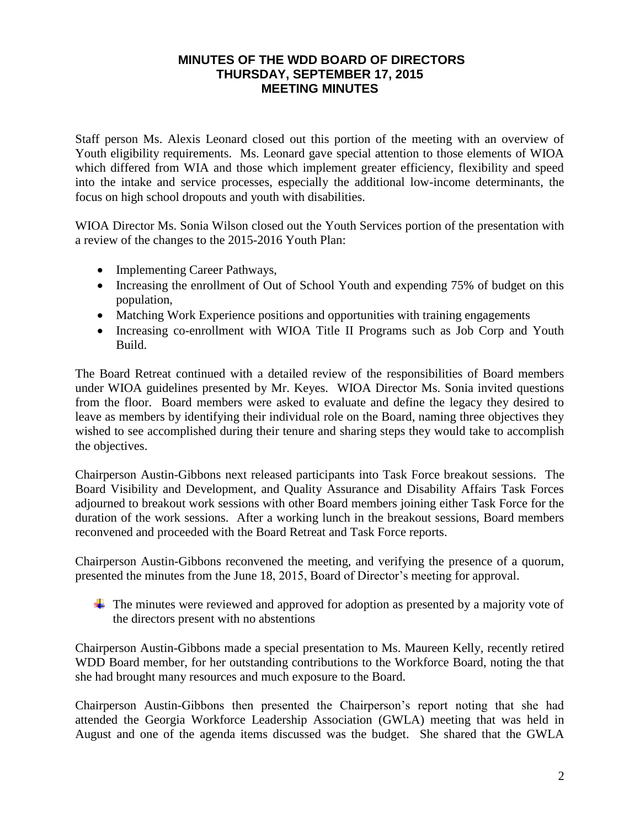Staff person Ms. Alexis Leonard closed out this portion of the meeting with an overview of Youth eligibility requirements. Ms. Leonard gave special attention to those elements of WIOA which differed from WIA and those which implement greater efficiency, flexibility and speed into the intake and service processes, especially the additional low-income determinants, the focus on high school dropouts and youth with disabilities.

WIOA Director Ms. Sonia Wilson closed out the Youth Services portion of the presentation with a review of the changes to the 2015-2016 Youth Plan:

- Implementing Career Pathways,
- Increasing the enrollment of Out of School Youth and expending 75% of budget on this population,
- Matching Work Experience positions and opportunities with training engagements
- Increasing co-enrollment with WIOA Title II Programs such as Job Corp and Youth Build.

The Board Retreat continued with a detailed review of the responsibilities of Board members under WIOA guidelines presented by Mr. Keyes. WIOA Director Ms. Sonia invited questions from the floor. Board members were asked to evaluate and define the legacy they desired to leave as members by identifying their individual role on the Board, naming three objectives they wished to see accomplished during their tenure and sharing steps they would take to accomplish the objectives.

Chairperson Austin-Gibbons next released participants into Task Force breakout sessions. The Board Visibility and Development, and Quality Assurance and Disability Affairs Task Forces adjourned to breakout work sessions with other Board members joining either Task Force for the duration of the work sessions. After a working lunch in the breakout sessions, Board members reconvened and proceeded with the Board Retreat and Task Force reports.

Chairperson Austin-Gibbons reconvened the meeting, and verifying the presence of a quorum, presented the minutes from the June 18, 2015, Board of Director's meeting for approval.

 $\pm$  The minutes were reviewed and approved for adoption as presented by a majority vote of the directors present with no abstentions

Chairperson Austin-Gibbons made a special presentation to Ms. Maureen Kelly, recently retired WDD Board member, for her outstanding contributions to the Workforce Board, noting the that she had brought many resources and much exposure to the Board.

Chairperson Austin-Gibbons then presented the Chairperson's report noting that she had attended the Georgia Workforce Leadership Association (GWLA) meeting that was held in August and one of the agenda items discussed was the budget. She shared that the GWLA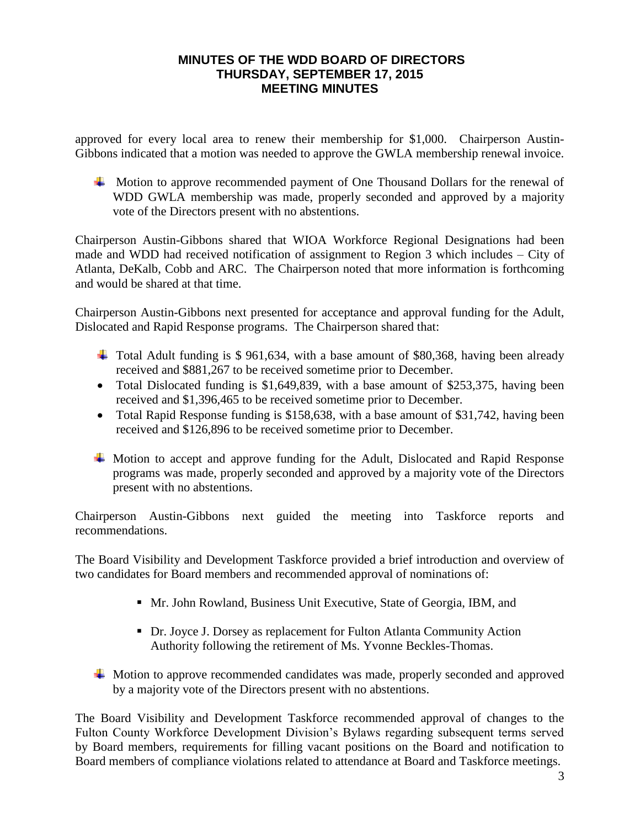approved for every local area to renew their membership for \$1,000. Chairperson Austin-Gibbons indicated that a motion was needed to approve the GWLA membership renewal invoice.

 $\overline{\phantom{a}}$  Motion to approve recommended payment of One Thousand Dollars for the renewal of WDD GWLA membership was made, properly seconded and approved by a majority vote of the Directors present with no abstentions.

Chairperson Austin-Gibbons shared that WIOA Workforce Regional Designations had been made and WDD had received notification of assignment to Region 3 which includes – City of Atlanta, DeKalb, Cobb and ARC. The Chairperson noted that more information is forthcoming and would be shared at that time.

Chairperson Austin-Gibbons next presented for acceptance and approval funding for the Adult, Dislocated and Rapid Response programs. The Chairperson shared that:

- Total Adult funding is \$ 961,634, with a base amount of \$80,368, having been already received and \$881,267 to be received sometime prior to December.
- Total Dislocated funding is \$1,649,839, with a base amount of \$253,375, having been received and \$1,396,465 to be received sometime prior to December.
- Total Rapid Response funding is \$158,638, with a base amount of \$31,742, having been received and \$126,896 to be received sometime prior to December.
- Motion to accept and approve funding for the Adult, Dislocated and Rapid Response programs was made, properly seconded and approved by a majority vote of the Directors present with no abstentions.

Chairperson Austin-Gibbons next guided the meeting into Taskforce reports and recommendations.

The Board Visibility and Development Taskforce provided a brief introduction and overview of two candidates for Board members and recommended approval of nominations of:

- Mr. John Rowland, Business Unit Executive, State of Georgia, IBM, and
- Dr. Joyce J. Dorsey as replacement for Fulton Atlanta Community Action Authority following the retirement of Ms. Yvonne Beckles-Thomas.
- **Worth** Motion to approve recommended candidates was made, properly seconded and approved by a majority vote of the Directors present with no abstentions.

The Board Visibility and Development Taskforce recommended approval of changes to the Fulton County Workforce Development Division's Bylaws regarding subsequent terms served by Board members, requirements for filling vacant positions on the Board and notification to Board members of compliance violations related to attendance at Board and Taskforce meetings.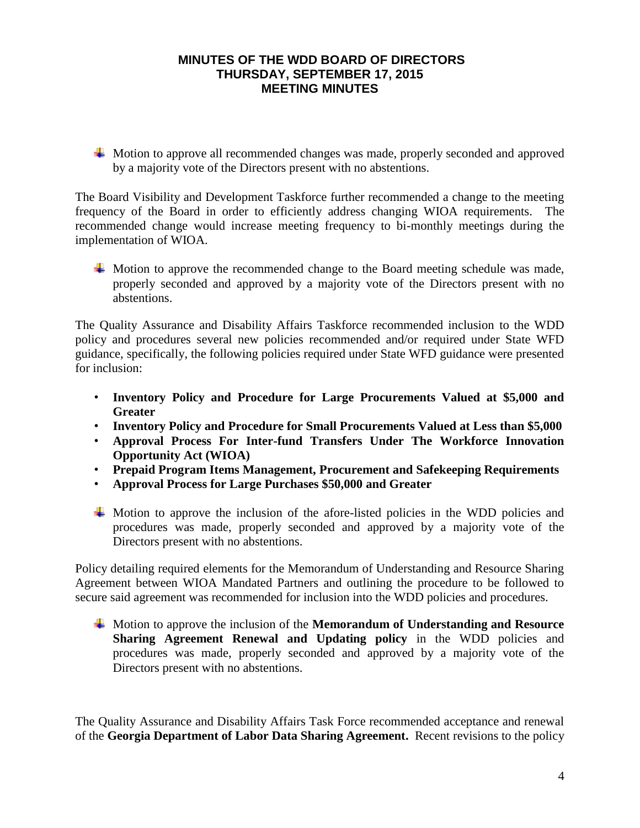$\overline{\phantom{a}}$  Motion to approve all recommended changes was made, properly seconded and approved by a majority vote of the Directors present with no abstentions.

The Board Visibility and Development Taskforce further recommended a change to the meeting frequency of the Board in order to efficiently address changing WIOA requirements. The recommended change would increase meeting frequency to bi-monthly meetings during the implementation of WIOA.

 $\overline{\phantom{a}}$  Motion to approve the recommended change to the Board meeting schedule was made, properly seconded and approved by a majority vote of the Directors present with no abstentions.

The Quality Assurance and Disability Affairs Taskforce recommended inclusion to the WDD policy and procedures several new policies recommended and/or required under State WFD guidance, specifically, the following policies required under State WFD guidance were presented for inclusion:

- **Inventory Policy and Procedure for Large Procurements Valued at \$5,000 and Greater**
- **Inventory Policy and Procedure for Small Procurements Valued at Less than \$5,000**
- **Approval Process For Inter-fund Transfers Under The Workforce Innovation Opportunity Act (WIOA)**
- **Prepaid Program Items Management, Procurement and Safekeeping Requirements**
- **Approval Process for Large Purchases \$50,000 and Greater**
- Motion to approve the inclusion of the afore-listed policies in the WDD policies and procedures was made, properly seconded and approved by a majority vote of the Directors present with no abstentions.

Policy detailing required elements for the Memorandum of Understanding and Resource Sharing Agreement between WIOA Mandated Partners and outlining the procedure to be followed to secure said agreement was recommended for inclusion into the WDD policies and procedures.

Motion to approve the inclusion of the **Memorandum of Understanding and Resource Sharing Agreement Renewal and Updating policy** in the WDD policies and procedures was made, properly seconded and approved by a majority vote of the Directors present with no abstentions.

The Quality Assurance and Disability Affairs Task Force recommended acceptance and renewal of the **Georgia Department of Labor Data Sharing Agreement.** Recent revisions to the policy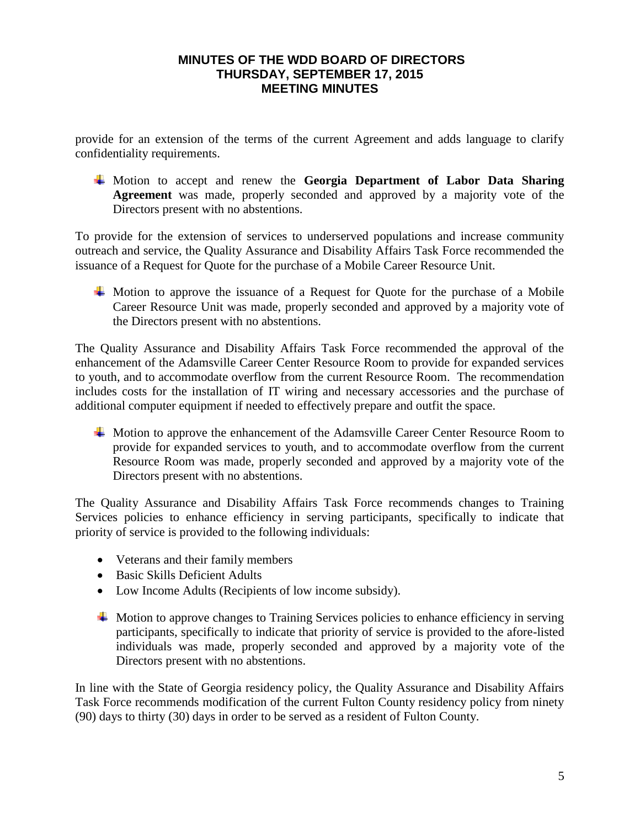provide for an extension of the terms of the current Agreement and adds language to clarify confidentiality requirements.

Motion to accept and renew the **Georgia Department of Labor Data Sharing Agreement** was made, properly seconded and approved by a majority vote of the Directors present with no abstentions.

To provide for the extension of services to underserved populations and increase community outreach and service, the Quality Assurance and Disability Affairs Task Force recommended the issuance of a Request for Quote for the purchase of a Mobile Career Resource Unit.

 $\overline{\phantom{a}}$  Motion to approve the issuance of a Request for Quote for the purchase of a Mobile Career Resource Unit was made, properly seconded and approved by a majority vote of the Directors present with no abstentions.

The Quality Assurance and Disability Affairs Task Force recommended the approval of the enhancement of the Adamsville Career Center Resource Room to provide for expanded services to youth, and to accommodate overflow from the current Resource Room. The recommendation includes costs for the installation of IT wiring and necessary accessories and the purchase of additional computer equipment if needed to effectively prepare and outfit the space.

Motion to approve the enhancement of the Adamsville Career Center Resource Room to provide for expanded services to youth, and to accommodate overflow from the current Resource Room was made, properly seconded and approved by a majority vote of the Directors present with no abstentions.

The Quality Assurance and Disability Affairs Task Force recommends changes to Training Services policies to enhance efficiency in serving participants, specifically to indicate that priority of service is provided to the following individuals:

- Veterans and their family members
- Basic Skills Deficient Adults
- Low Income Adults (Recipients of low income subsidy).
- $\overline{\phantom{a}}$  Motion to approve changes to Training Services policies to enhance efficiency in serving participants, specifically to indicate that priority of service is provided to the afore-listed individuals was made, properly seconded and approved by a majority vote of the Directors present with no abstentions.

In line with the State of Georgia residency policy, the Quality Assurance and Disability Affairs Task Force recommends modification of the current Fulton County residency policy from ninety (90) days to thirty (30) days in order to be served as a resident of Fulton County.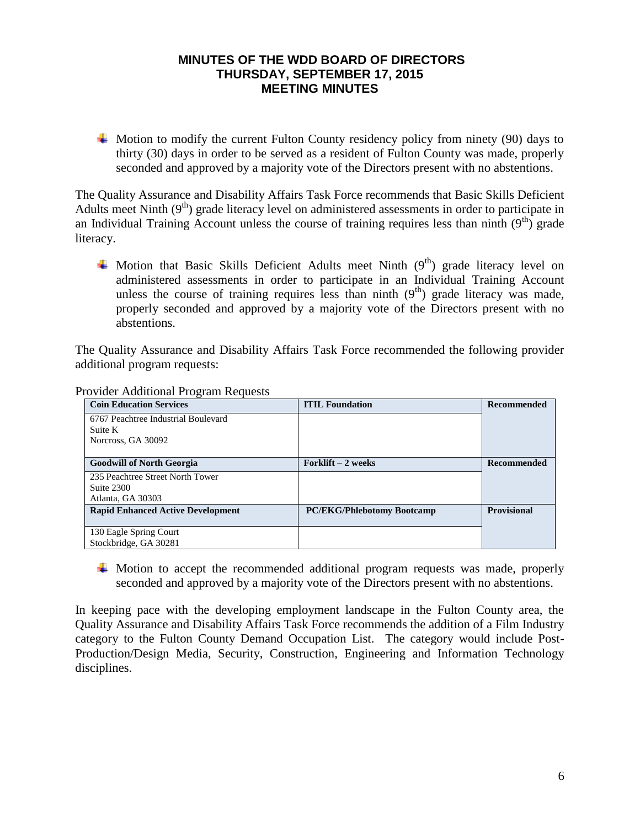$\overline{\phantom{a}}$  Motion to modify the current Fulton County residency policy from ninety (90) days to thirty (30) days in order to be served as a resident of Fulton County was made, properly seconded and approved by a majority vote of the Directors present with no abstentions.

The Quality Assurance and Disability Affairs Task Force recommends that Basic Skills Deficient Adults meet Ninth  $(9<sup>th</sup>)$  grade literacy level on administered assessments in order to participate in an Individual Training Account unless the course of training requires less than ninth  $(9<sup>th</sup>)$  grade literacy.

 $\uparrow$  Motion that Basic Skills Deficient Adults meet Ninth  $(9<sup>th</sup>)$  grade literacy level on administered assessments in order to participate in an Individual Training Account unless the course of training requires less than ninth  $(9<sup>th</sup>)$  grade literacy was made, properly seconded and approved by a majority vote of the Directors present with no abstentions.

The Quality Assurance and Disability Affairs Task Force recommended the following provider additional program requests:

| <b>Coin Education Services</b>           | <b>ITIL Foundation</b>            | <b>Recommended</b> |
|------------------------------------------|-----------------------------------|--------------------|
| 6767 Peachtree Industrial Boulevard      |                                   |                    |
| Suite K                                  |                                   |                    |
| Norcross, GA 30092                       |                                   |                    |
|                                          |                                   |                    |
| <b>Goodwill of North Georgia</b>         | Forklift $-2$ weeks               | <b>Recommended</b> |
| 235 Peachtree Street North Tower         |                                   |                    |
| Suite 2300                               |                                   |                    |
| Atlanta, GA 30303                        |                                   |                    |
| <b>Rapid Enhanced Active Development</b> | <b>PC/EKG/Phlebotomy Bootcamp</b> | <b>Provisional</b> |
|                                          |                                   |                    |
| 130 Eagle Spring Court                   |                                   |                    |
| Stockbridge, GA 30281                    |                                   |                    |

Provider Additional Program Requests

Motion to accept the recommended additional program requests was made, properly seconded and approved by a majority vote of the Directors present with no abstentions.

In keeping pace with the developing employment landscape in the Fulton County area, the Quality Assurance and Disability Affairs Task Force recommends the addition of a Film Industry category to the Fulton County Demand Occupation List. The category would include Post-Production/Design Media, Security, Construction, Engineering and Information Technology disciplines.